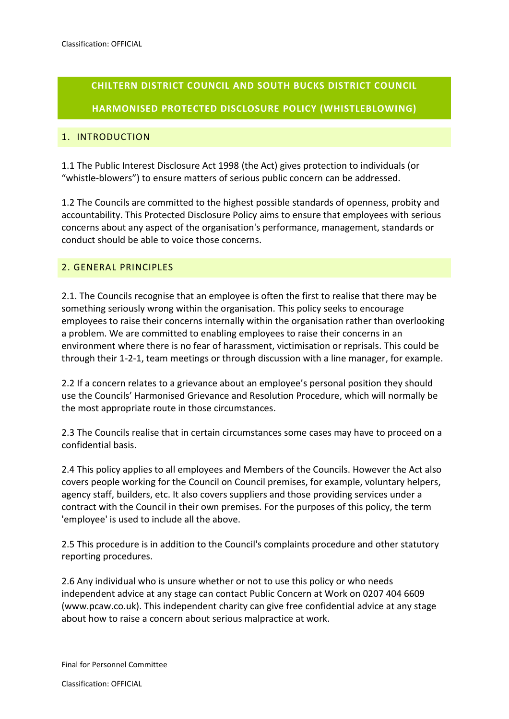# **CHILTERN DISTRICT COUNCIL AND SOUTH BUCKS DISTRICT COUNCIL HARMONISED PROTECTED DISCLOSURE POLICY (WHISTLEBLOWING)**

# 1. INTRODUCTION

1.1 The Public Interest Disclosure Act 1998 (the Act) gives protection to individuals (or "whistle-blowers") to ensure matters of serious public concern can be addressed.

1.2 The Councils are committed to the highest possible standards of openness, probity and accountability. This Protected Disclosure Policy aims to ensure that employees with serious concerns about any aspect of the organisation's performance, management, standards or conduct should be able to voice those concerns.

# 2. GENERAL PRINCIPLES

2.1. The Councils recognise that an employee is often the first to realise that there may be something seriously wrong within the organisation. This policy seeks to encourage employees to raise their concerns internally within the organisation rather than overlooking a problem. We are committed to enabling employees to raise their concerns in an environment where there is no fear of harassment, victimisation or reprisals. This could be through their 1-2-1, team meetings or through discussion with a line manager, for example.

2.2 If a concern relates to a grievance about an employee's personal position they should use the Councils' Harmonised Grievance and Resolution Procedure, which will normally be the most appropriate route in those circumstances.

2.3 The Councils realise that in certain circumstances some cases may have to proceed on a confidential basis.

2.4 This policy applies to all employees and Members of the Councils. However the Act also covers people working for the Council on Council premises, for example, voluntary helpers, agency staff, builders, etc. It also covers suppliers and those providing services under a contract with the Council in their own premises. For the purposes of this policy, the term 'employee' is used to include all the above.

2.5 This procedure is in addition to the Council's complaints procedure and other statutory reporting procedures.

2.6 Any individual who is unsure whether or not to use this policy or who needs independent advice at any stage can contact [Public Concern at Work](http://www.pcaw.co.uk/) on 0207 404 6609 (www.pcaw.co.uk). This independent charity can give free confidential advice at any stage about how to raise a concern about serious malpractice at work.

Final for Personnel Committee

Classification: OFFICIAL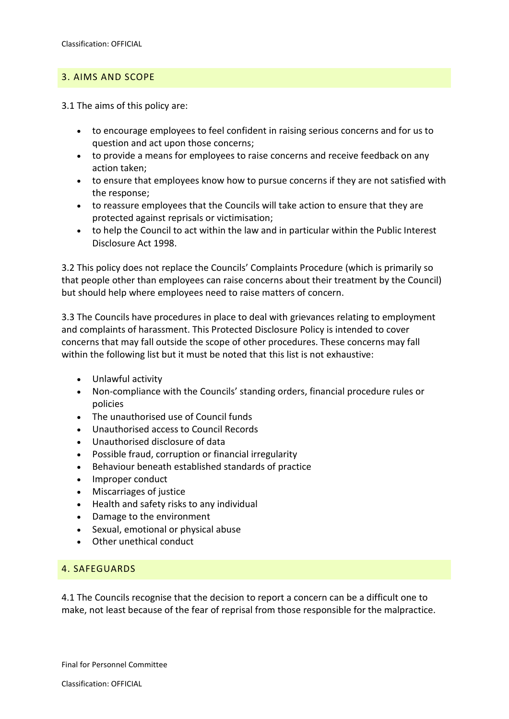# 3. AIMS AND SCOPE

3.1 The aims of this policy are:

- to encourage employees to feel confident in raising serious concerns and for us to question and act upon those concerns;
- to provide a means for employees to raise concerns and receive feedback on any action taken;
- to ensure that employees know how to pursue concerns if they are not satisfied with the response;
- to reassure employees that the Councils will take action to ensure that they are protected against reprisals or victimisation;
- to help the Council to act within the law and in particular within the Public Interest Disclosure Act 1998.

3.2 This policy does not replace the Councils' Complaints Procedure (which is primarily so that people other than employees can raise concerns about their treatment by the Council) but should help where employees need to raise matters of concern.

3.3 The Councils have procedures in place to deal with grievances relating to employment and complaints of harassment. This Protected Disclosure Policy is intended to cover concerns that may fall outside the scope of other procedures. These concerns may fall within the following list but it must be noted that this list is not exhaustive:

- Unlawful activity
- Non-compliance with the Councils' standing orders, financial procedure rules or policies
- The unauthorised use of Council funds
- Unauthorised access to Council Records
- Unauthorised disclosure of data
- Possible fraud, corruption or financial irregularity
- Behaviour beneath established standards of practice
- Improper conduct
- Miscarriages of justice
- Health and safety risks to any individual
- Damage to the environment
- Sexual, emotional or physical abuse
- Other unethical conduct

#### 4. SAFEGUARDS

4.1 The Councils recognise that the decision to report a concern can be a difficult one to make, not least because of the fear of reprisal from those responsible for the malpractice.

Final for Personnel Committee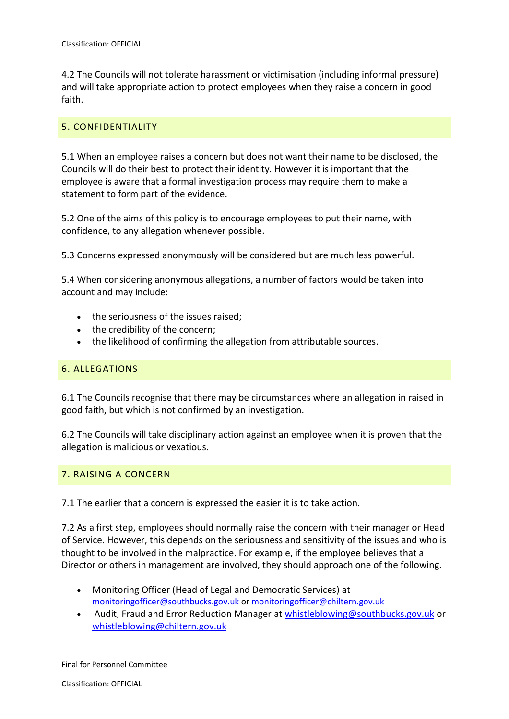4.2 The Councils will not tolerate harassment or victimisation (including informal pressure) and will take appropriate action to protect employees when they raise a concern in good faith.

## 5. CONFIDENTIALITY

5.1 When an employee raises a concern but does not want their name to be disclosed, the Councils will do their best to protect their identity. However it is important that the employee is aware that a formal investigation process may require them to make a statement to form part of the evidence.

5.2 One of the aims of this policy is to encourage employees to put their name, with confidence, to any allegation whenever possible.

5.3 Concerns expressed anonymously will be considered but are much less powerful.

5.4 When considering anonymous allegations, a number of factors would be taken into account and may include:

- the seriousness of the issues raised;
- the credibility of the concern;
- the likelihood of confirming the allegation from attributable sources.

#### 6. ALLEGATIONS

6.1 The Councils recognise that there may be circumstances where an allegation in raised in good faith, but which is not confirmed by an investigation.

6.2 The Councils will take disciplinary action against an employee when it is proven that the allegation is malicious or vexatious.

#### 7. RAISING A CONCERN

7.1 The earlier that a concern is expressed the easier it is to take action.

7.2 As a first step, employees should normally raise the concern with their manager or Head of Service. However, this depends on the seriousness and sensitivity of the issues and who is thought to be involved in the malpractice. For example, if the employee believes that a Director or others in management are involved, they should approach one of the following.

- Monitoring Officer (Head of Legal and Democratic Services) at [monitoringofficer@southbucks.gov.uk](mailto:monitoringofficer@southbucks.gov.uk) or [monitoringofficer@chiltern.gov.uk](mailto:monitoringofficer@chiltern.gov.uk)
- Audit, Fraud and Error Reduction Manager at [whistleblowing@southbucks.gov.uk](mailto:whistleblowing@southbucks.gov.uk) or [whistleblowing@chiltern.gov.uk](mailto:whistleblowing@chiltern.gov.uk)

Final for Personnel Committee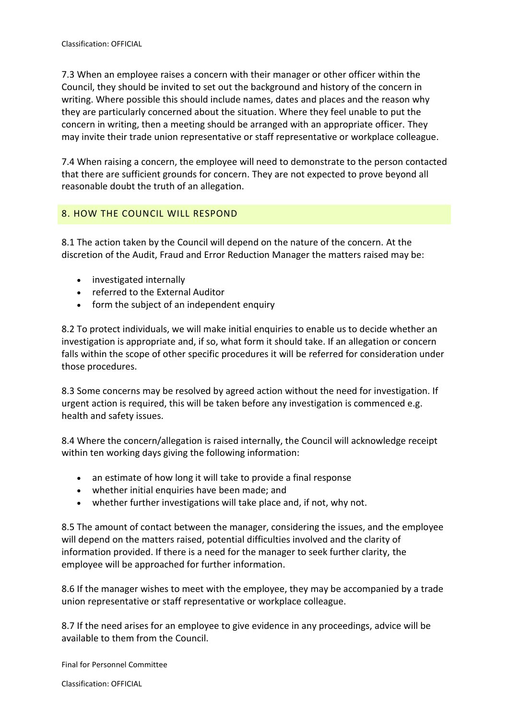7.3 When an employee raises a concern with their manager or other officer within the Council, they should be invited to set out the background and history of the concern in writing. Where possible this should include names, dates and places and the reason why they are particularly concerned about the situation. Where they feel unable to put the concern in writing, then a meeting should be arranged with an appropriate officer. They may invite their trade union representative or staff representative or workplace colleague.

7.4 When raising a concern, the employee will need to demonstrate to the person contacted that there are sufficient grounds for concern. They are not expected to prove beyond all reasonable doubt the truth of an allegation.

# 8. HOW THE COUNCIL WILL RESPOND

8.1 The action taken by the Council will depend on the nature of the concern. At the discretion of the Audit, Fraud and Error Reduction Manager the matters raised may be:

- investigated internally
- referred to the External Auditor
- form the subject of an independent enquiry

8.2 To protect individuals, we will make initial enquiries to enable us to decide whether an investigation is appropriate and, if so, what form it should take. If an allegation or concern falls within the scope of other specific procedures it will be referred for consideration under those procedures.

8.3 Some concerns may be resolved by agreed action without the need for investigation. If urgent action is required, this will be taken before any investigation is commenced e.g. health and safety issues.

8.4 Where the concern/allegation is raised internally, the Council will acknowledge receipt within ten working days giving the following information:

- an estimate of how long it will take to provide a final response
- whether initial enquiries have been made; and
- whether further investigations will take place and, if not, why not.

8.5 The amount of contact between the manager, considering the issues, and the employee will depend on the matters raised, potential difficulties involved and the clarity of information provided. If there is a need for the manager to seek further clarity, the employee will be approached for further information.

8.6 If the manager wishes to meet with the employee, they may be accompanied by a trade union representative or staff representative or workplace colleague.

8.7 If the need arises for an employee to give evidence in any proceedings, advice will be available to them from the Council.

Final for Personnel Committee

Classification: OFFICIAL